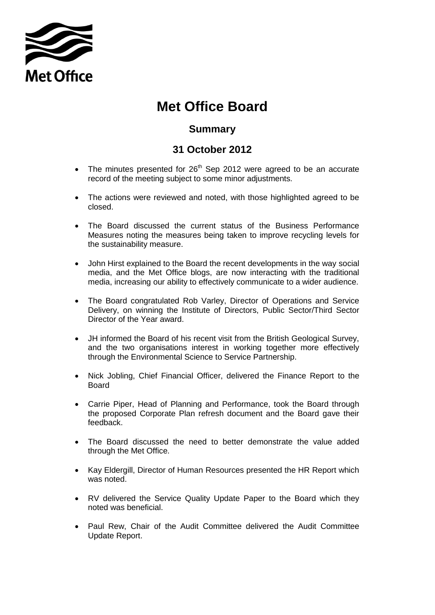

## **Met Office Board**

## **Summary**

## **31 October 2012**

- The minutes presented for  $26<sup>th</sup>$  Sep 2012 were agreed to be an accurate record of the meeting subject to some minor adjustments.
- The actions were reviewed and noted, with those highlighted agreed to be closed.
- The Board discussed the current status of the Business Performance Measures noting the measures being taken to improve recycling levels for the sustainability measure.
- John Hirst explained to the Board the recent developments in the way social media, and the Met Office blogs, are now interacting with the traditional media, increasing our ability to effectively communicate to a wider audience.
- The Board congratulated Rob Varley, Director of Operations and Service Delivery, on winning the Institute of Directors, Public Sector/Third Sector Director of the Year award.
- JH informed the Board of his recent visit from the British Geological Survey, and the two organisations interest in working together more effectively through the Environmental Science to Service Partnership.
- Nick Jobling, Chief Financial Officer, delivered the Finance Report to the Board
- Carrie Piper, Head of Planning and Performance, took the Board through the proposed Corporate Plan refresh document and the Board gave their feedback.
- The Board discussed the need to better demonstrate the value added through the Met Office.
- Kay Eldergill, Director of Human Resources presented the HR Report which was noted.
- RV delivered the Service Quality Update Paper to the Board which they noted was beneficial.
- Paul Rew, Chair of the Audit Committee delivered the Audit Committee Update Report.